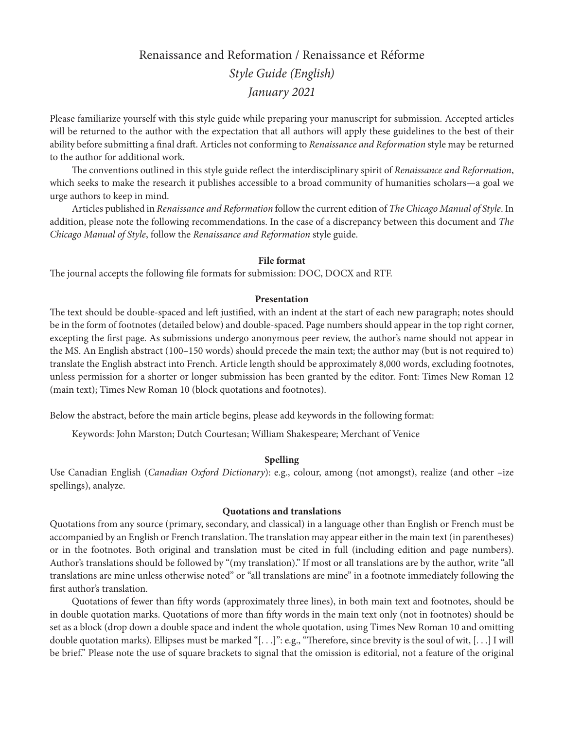# Renaissance and Reformation / Renaissance et Réforme *Style Guide (English) January 2021*

Please familiarize yourself with this style guide while preparing your manuscript for submission. Accepted articles will be returned to the author with the expectation that all authors will apply these guidelines to the best of their ability before submitting a final draft. Articles not conforming to *Renaissance and Reformation* style may be returned to the author for additional work.

The conventions outlined in this style guide reflect the interdisciplinary spirit of *Renaissance and Reformation*, which seeks to make the research it publishes accessible to a broad community of humanities scholars—a goal we urge authors to keep in mind.

Articles published in *Renaissance and Reformation* follow the current edition of *The Chicago Manual of Style*. In addition, please note the following recommendations. In the case of a discrepancy between this document and *The Chicago Manual of Style*, follow the *Renaissance and Reformation* style guide.

### **File format**

The journal accepts the following file formats for submission: DOC, DOCX and RTF.

## **Presentation**

The text should be double-spaced and left justified, with an indent at the start of each new paragraph; notes should be in the form of footnotes (detailed below) and double-spaced. Page numbers should appear in the top right corner, excepting the first page. As submissions undergo anonymous peer review, the author's name should not appear in the MS. An English abstract (100–150 words) should precede the main text; the author may (but is not required to) translate the English abstract into French. Article length should be approximately 8,000 words, excluding footnotes, unless permission for a shorter or longer submission has been granted by the editor. Font: Times New Roman 12 (main text); Times New Roman 10 (block quotations and footnotes).

Below the abstract, before the main article begins, please add keywords in the following format:

Keywords: John Marston; Dutch Courtesan; William Shakespeare; Merchant of Venice

#### **Spelling**

Use Canadian English (*Canadian Oxford Dictionary*): e.g., colour, among (not amongst), realize (and other –ize spellings), analyze.

#### **Quotations and translations**

Quotations from any source (primary, secondary, and classical) in a language other than English or French must be accompanied by an English or French translation. The translation may appear either in the main text (in parentheses) or in the footnotes. Both original and translation must be cited in full (including edition and page numbers). Author's translations should be followed by "(my translation)." If most or all translations are by the author, write "all translations are mine unless otherwise noted" or "all translations are mine" in a footnote immediately following the first author's translation.

Quotations of fewer than fifty words (approximately three lines), in both main text and footnotes, should be in double quotation marks. Quotations of more than fifty words in the main text only (not in footnotes) should be set as a block (drop down a double space and indent the whole quotation, using Times New Roman 10 and omitting double quotation marks). Ellipses must be marked "[. . .]": e.g., "Therefore, since brevity is the soul of wit, [. . .] I will be brief." Please note the use of square brackets to signal that the omission is editorial, not a feature of the original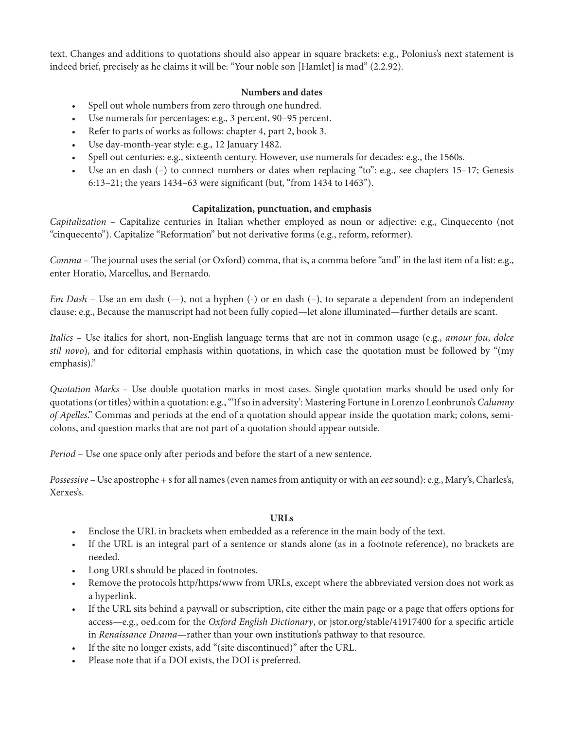text. Changes and additions to quotations should also appear in square brackets: e.g., Polonius's next statement is indeed brief, precisely as he claims it will be: "Your noble son [Hamlet] is mad" (2.2.92).

# **Numbers and dates**

- Spell out whole numbers from zero through one hundred.
- Use numerals for percentages: e.g., 3 percent, 90–95 percent.
- Refer to parts of works as follows: chapter 4, part 2, book 3.
- Use day-month-year style: e.g., 12 January 1482.
- Spell out centuries: e.g., sixteenth century. However, use numerals for decades: e.g., the 1560s.
- Use an en dash (-) to connect numbers or dates when replacing "to": e.g., see chapters 15-17; Genesis 6:13–21; the years 1434–63 were significant (but, "from 1434 to 1463").

## **Capitalization, punctuation, and emphasis**

*Capitalization* – Capitalize centuries in Italian whether employed as noun or adjective: e.g., Cinquecento (not "cinquecento"). Capitalize "Reformation" but not derivative forms (e.g., reform, reformer).

*Comma* – The journal uses the serial (or Oxford) comma, that is, a comma before "and" in the last item of a list: e.g., enter Horatio, Marcellus, and Bernardo.

*Em Dash* – Use an em dash (-), not a hyphen (-) or en dash (-), to separate a dependent from an independent clause: e.g., Because the manuscript had not been fully copied—let alone illuminated—further details are scant.

*Italics* – Use italics for short, non-English language terms that are not in common usage (e.g., *amour fou*, *dolce stil novo*), and for editorial emphasis within quotations, in which case the quotation must be followed by "(my emphasis)."

*Quotation Marks* – Use double quotation marks in most cases. Single quotation marks should be used only for quotations (or titles) within a quotation: e.g., "'If so in adversity': Mastering Fortune in Lorenzo Leonbruno's *Calumny of Apelles*." Commas and periods at the end of a quotation should appear inside the quotation mark; colons, semicolons, and question marks that are not part of a quotation should appear outside.

*Period* – Use one space only after periods and before the start of a new sentence.

*Possessive* – Use apostrophe + s for all names (even names from antiquity or with an *eez* sound): e.g., Mary's, Charles's, Xerxes's.

# **URLs**

- Enclose the URL in brackets when embedded as a reference in the main body of the text.
- If the URL is an integral part of a sentence or stands alone (as in a footnote reference), no brackets are needed.
- Long URLs should be placed in footnotes.
- Remove the protocols http/https/www from URLs, except where the abbreviated version does not work as a hyperlink.
- If the URL sits behind a paywall or subscription, cite either the main page or a page that offers options for access—e.g., oed.com for the *Oxford English Dictionary*, or [jstor.org/stable/41917400](file:/C:\Users\Megan\Documents\Iter\jstor.org\stable\41917400) for a specific article in *Renaissance Drama*—rather than your own institution's pathway to that resource.
- If the site no longer exists, add "(site discontinued)" after the URL.
- Please note that if a DOI exists, the DOI is preferred.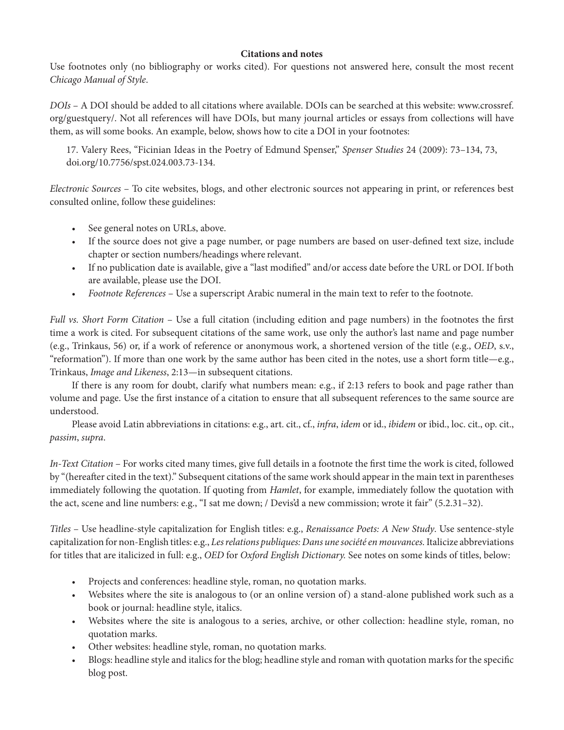## **Citations and notes**

Use footnotes only (no bibliography or works cited). For questions not answered here, consult the most recent *Chicago Manual of Style*.

*DOIs* – A DOI should be added to all citations where available. DOIs can be searched at this website: www.crossref. org/guestquery/. Not all references will have DOIs, but many journal articles or essays from collections will have them, as will some books. An example, below, shows how to cite a DOI in your footnotes:

17. Valery Rees, "Ficinian Ideas in the Poetry of Edmund Spenser," *Spenser Studies* 24 (2009): 73–134, 73, doi.org/10.7756/spst.024.003.73-134.

*Electronic Sources* – To cite websites, blogs, and other electronic sources not appearing in print, or references best consulted online, follow these guidelines:

- See general notes on URLs, above.
- If the source does not give a page number, or page numbers are based on user-defined text size, include chapter or section numbers/headings where relevant.
- If no publication date is available, give a "last modified" and/or access date before the URL or DOI. If both are available, please use the DOI.
- *Footnote References* Use a superscript Arabic numeral in the main text to refer to the footnote.

*Full vs. Short Form Citation* – Use a full citation (including edition and page numbers) in the footnotes the first time a work is cited. For subsequent citations of the same work, use only the author's last name and page number (e.g., Trinkaus, 56) or, if a work of reference or anonymous work, a shortened version of the title (e.g., *OED*, s.v., "reformation"). If more than one work by the same author has been cited in the notes, use a short form title—e.g., Trinkaus, *Image and Likeness*, 2:13—in subsequent citations.

If there is any room for doubt, clarify what numbers mean: e.g., if 2:13 refers to book and page rather than volume and page. Use the first instance of a citation to ensure that all subsequent references to the same source are understood.

Please avoid Latin abbreviations in citations: e.g., art. cit., cf., *infra*, *idem* or id., *ibidem* or ibid., loc. cit., op. cit., *passim*, *supra*.

*In-Text Citation* – For works cited many times, give full details in a footnote the first time the work is cited, followed by "(hereafter cited in the text)." Subsequent citations of the same work should appear in the main text in parentheses immediately following the quotation. If quoting from *Hamlet*, for example, immediately follow the quotation with the act, scene and line numbers: e.g., "I sat me down; / Devis'd a new commission; wrote it fair" (5.2.31–32).

*Titles* – Use headline-style capitalization for English titles: e.g., *Renaissance Poets: A New Study*. Use sentence-style capitalization for non-English titles: e.g., *Les relations publiques: Dans une société en mouvances.* Italicize abbreviations for titles that are italicized in full: e.g., *OED* for *Oxford English Dictionary.* See notes on some kinds of titles, below:

- Projects and conferences: headline style, roman, no quotation marks.
- Websites where the site is analogous to (or an online version of) a stand-alone published work such as a book or journal: headline style, italics.
- Websites where the site is analogous to a series, archive, or other collection: headline style, roman, no quotation marks.
- Other websites: headline style, roman, no quotation marks.
- Blogs: headline style and italics for the blog; headline style and roman with quotation marks for the specific blog post.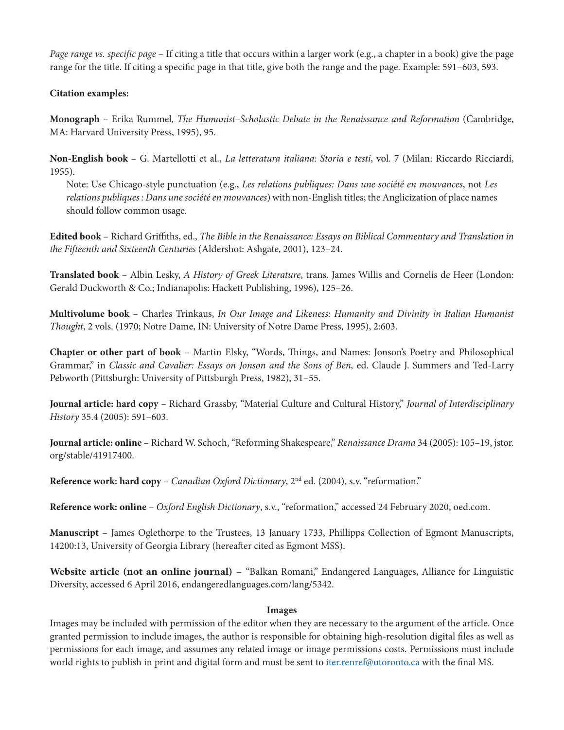*Page range vs. specific page* – If citing a title that occurs within a larger work (e.g., a chapter in a book) give the page range for the title. If citing a specific page in that title, give both the range and the page. Example: 591–603, 593.

# **Citation examples:**

**Monograph** – Erika Rummel, *The Humanist–Scholastic Debate in the Renaissance and Reformation* (Cambridge, MA: Harvard University Press, 1995), 95.

**Non-English book** – G. Martellotti et al., *La letteratura italiana: Storia e testi*, vol. 7 (Milan: Riccardo Ricciardi, 1955).

Note: Use Chicago-style punctuation (e.g., *Les relations publiques: Dans une société en mouvances*, not *Les relations publiques : Dans une société en mouvances*) with non-English titles; the Anglicization of place names should follow common usage.

**Edited book** – Richard Griffiths, ed., *The Bible in the Renaissance: Essays on Biblical Commentary and Translation in the Fifteenth and Sixteenth Centuries* (Aldershot: Ashgate, 2001), 123–24.

**Translated book** – Albin Lesky, *A History of Greek Literature*, trans. James Willis and Cornelis de Heer (London: Gerald Duckworth & Co.; Indianapolis: Hackett Publishing, 1996), 125–26.

**Multivolume book** – Charles Trinkaus, *In Our Image and Likeness: Humanity and Divinity in Italian Humanist Thought*, 2 vols. (1970; Notre Dame, IN: University of Notre Dame Press, 1995), 2:603.

**Chapter or other part of book** – Martin Elsky, "Words, Things, and Names: Jonson's Poetry and Philosophical Grammar," in *Classic and Cavalier: Essays on Jonson and the Sons of Ben,* ed. Claude J. Summers and Ted-Larry Pebworth (Pittsburgh: University of Pittsburgh Press, 1982), 31–55.

**Journal article: hard copy** – Richard Grassby, "Material Culture and Cultural History," *Journal of Interdisciplinary History* 35.4 (2005): 591–603.

**Journal article: online** – Richard W. Schoch, "Reforming Shakespeare," *Renaissance Drama* 34 (2005): 105–19, jstor. org/stable/41917400.

Reference work: hard copy – *Canadian Oxford Dictionary*, 2<sup>nd</sup> ed. (2004), s.v. "reformation."

**Reference work: online** – *Oxford English Dictionary*, s.v., "reformation," accessed 24 February 2020, oed.com.

**Manuscript** – James Oglethorpe to the Trustees, 13 January 1733, Phillipps Collection of Egmont Manuscripts, 14200:13, University of Georgia Library (hereafter cited as Egmont MSS).

**Website article (not an online journal)** – "Balkan Romani," Endangered Languages, Alliance for Linguistic Diversity, accessed 6 April 2016, endangeredlanguages.com/lang/5342.

### **Images**

Images may be included with permission of the editor when they are necessary to the argument of the article. Once granted permission to include images, the author is responsible for obtaining high-resolution digital files as well as permissions for each image, and assumes any related image or image permissions costs. Permissions must include world rights to publish in print and digital form and must be sent to [iter.renref@utoronto.ca](mailto:iter.renref@utoronto.ca) with the final MS.